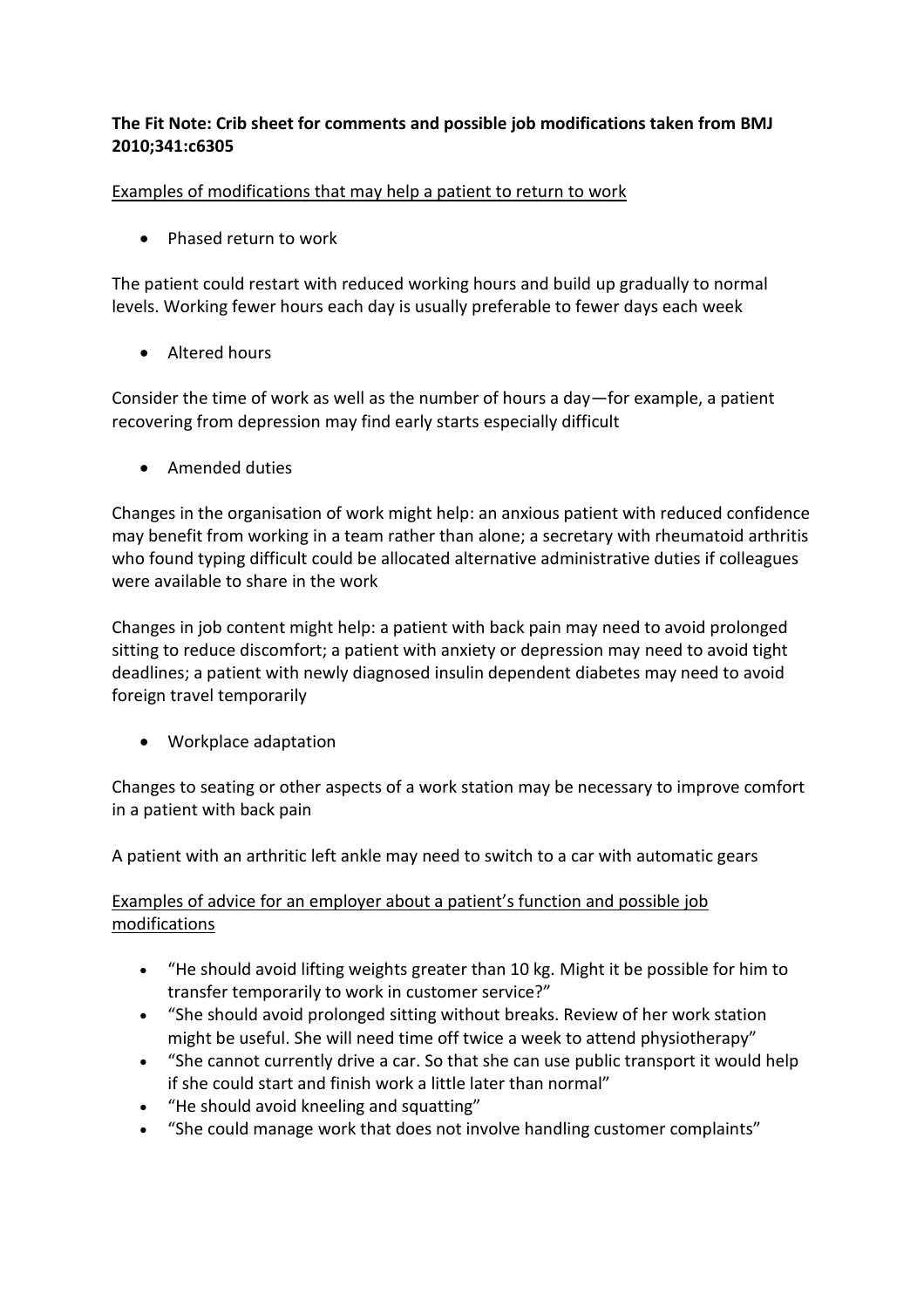# **The Fit Note: Crib sheet for comments and possible job modifications taken from BMJ 2010;341:c6305**

Examples of modifications that may help a patient to return to work

• Phased return to work

The patient could restart with reduced working hours and build up gradually to normal levels. Working fewer hours each day is usually preferable to fewer days each week

• Altered hours

Consider the time of work as well as the number of hours a day—for example, a patient recovering from depression may find early starts especially difficult

Amended duties

Changes in the organisation of work might help: an anxious patient with reduced confidence may benefit from working in a team rather than alone; a secretary with rheumatoid arthritis who found typing difficult could be allocated alternative administrative duties if colleagues were available to share in the work

Changes in job content might help: a patient with back pain may need to avoid prolonged sitting to reduce discomfort; a patient with anxiety or depression may need to avoid tight deadlines; a patient with newly diagnosed insulin dependent diabetes may need to avoid foreign travel temporarily

Workplace adaptation

Changes to seating or other aspects of a work station may be necessary to improve comfort in a patient with back pain

A patient with an arthritic left ankle may need to switch to a car with automatic gears

# Examples of advice for an employer about a patient's function and possible job modifications

- "He should avoid lifting weights greater than 10 kg. Might it be possible for him to transfer temporarily to work in customer service?"
- "She should avoid prolonged sitting without breaks. Review of her work station might be useful. She will need time off twice a week to attend physiotherapy"
- "She cannot currently drive a car. So that she can use public transport it would help if she could start and finish work a little later than normal"
- "He should avoid kneeling and squatting"
- "She could manage work that does not involve handling customer complaints"